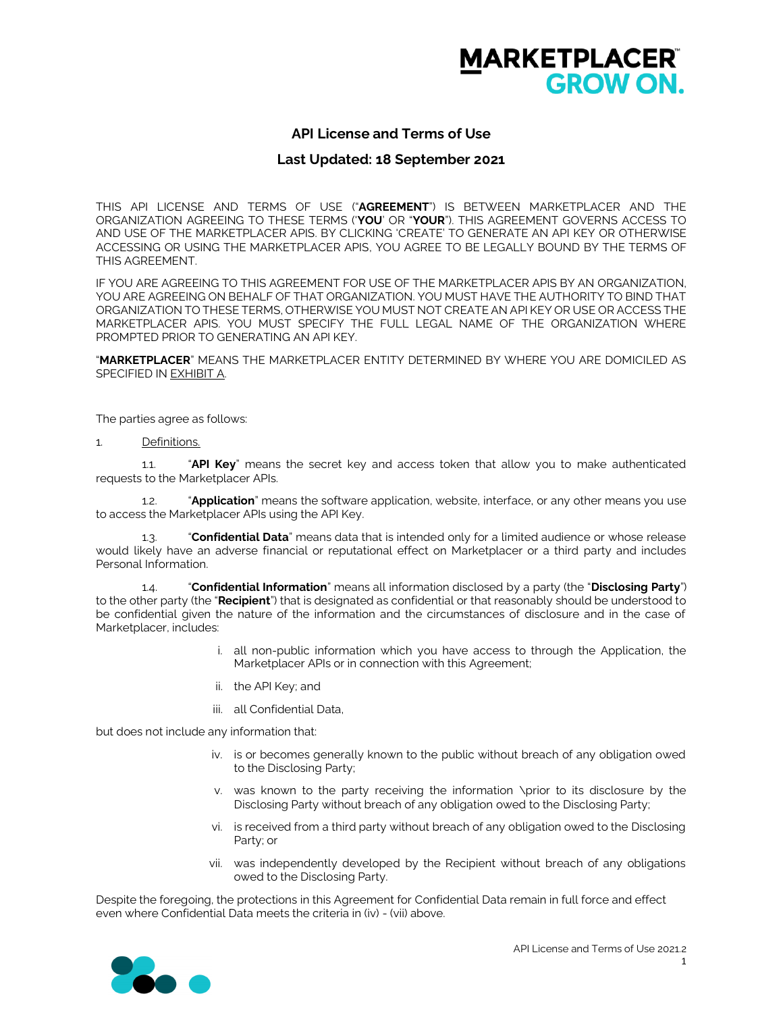

# **API License and Terms of Use**

### **Last Updated: 18 September 2021**

THIS API LICENSE AND TERMS OF USE ("**AGREEMENT**") IS BETWEEN MARKETPLACER AND THE ORGANIZATION AGREEING TO THESE TERMS ('**YOU**' OR "**YOUR**"). THIS AGREEMENT GOVERNS ACCESS TO AND USE OF THE MARKETPLACER APIS. BY CLICKING 'CREATE' TO GENERATE AN API KEY OR OTHERWISE ACCESSING OR USING THE MARKETPLACER APIS, YOU AGREE TO BE LEGALLY BOUND BY THE TERMS OF THIS AGREEMENT.

IF YOU ARE AGREEING TO THIS AGREEMENT FOR USE OF THE MARKETPLACER APIS BY AN ORGANIZATION, YOU ARE AGREEING ON BEHALF OF THAT ORGANIZATION. YOU MUST HAVE THE AUTHORITY TO BIND THAT ORGANIZATION TO THESE TERMS, OTHERWISE YOU MUST NOT CREATE AN API KEY OR USE OR ACCESS THE MARKETPLACER APIS. YOU MUST SPECIFY THE FULL LEGAL NAME OF THE ORGANIZATION WHERE PROMPTED PRIOR TO GENERATING AN API KEY.

"**MARKETPLACER**" MEANS THE MARKETPLACER ENTITY DETERMINED BY WHERE YOU ARE DOMICILED AS SPECIFIED IN EXHIBIT A.

The parties agree as follows:

1. Definitions.

1.1. "**API Key**" means the secret key and access token that allow you to make authenticated requests to the Marketplacer APIs.

1.2. "**Application**" means the software application, website, interface, or any other means you use to access the Marketplacer APIs using the API Key.

1.3. "**Confidential Data**" means data that is intended only for a limited audience or whose release would likely have an adverse financial or reputational effect on Marketplacer or a third party and includes Personal Information.

1.4. "**Confidential Information**" means all information disclosed by a party (the "**Disclosing Party**") to the other party (the "**Recipient**") that is designated as confidential or that reasonably should be understood to be confidential given the nature of the information and the circumstances of disclosure and in the case of Marketplacer, includes:

- i. all non-public information which you have access to through the Application, the Marketplacer APIs or in connection with this Agreement;
- ii. the API Key; and
- iii. all Confidential Data,

but does not include any information that:

- iv. is or becomes generally known to the public without breach of any obligation owed to the Disclosing Party;
- v. was known to the party receiving the information \prior to its disclosure by the Disclosing Party without breach of any obligation owed to the Disclosing Party;
- vi. is received from a third party without breach of any obligation owed to the Disclosing Party; or
- vii. was independently developed by the Recipient without breach of any obligations owed to the Disclosing Party.

Despite the foregoing, the protections in this Agreement for Confidential Data remain in full force and effect even where Confidential Data meets the criteria in (iv) - (vii) above.

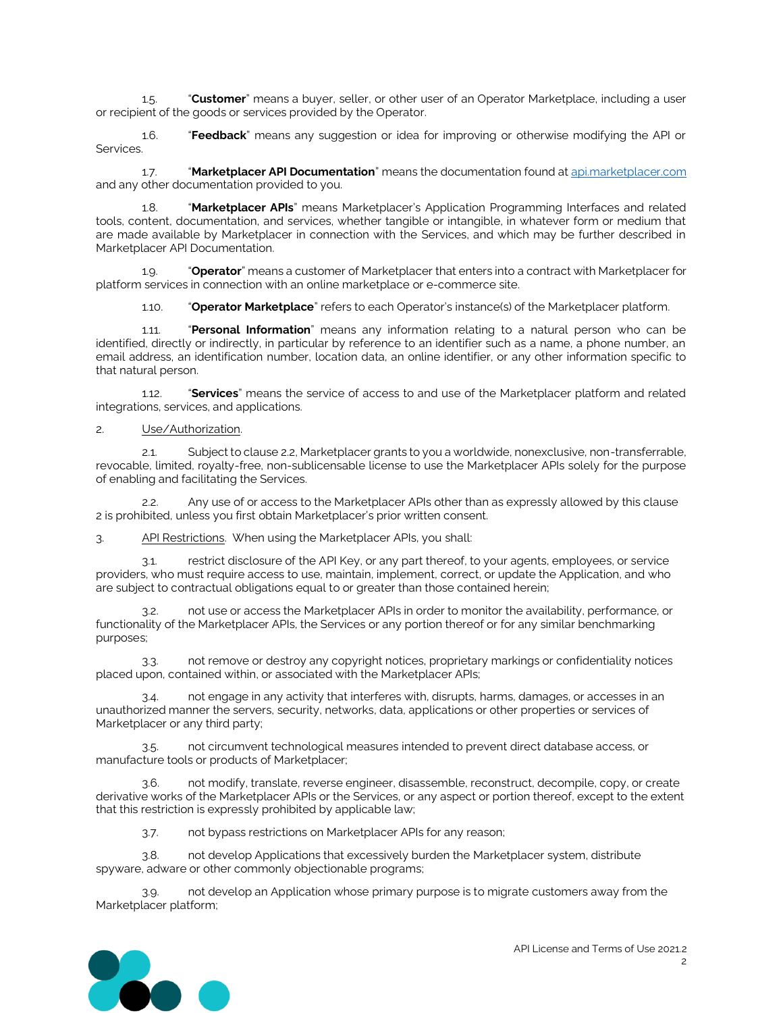1.5. "**Customer**" means a buyer, seller, or other user of an Operator Marketplace, including a user or recipient of the goods or services provided by the Operator.

1.6. "**Feedback**" means any suggestion or idea for improving or otherwise modifying the API or Services.

1.7. "**Marketplacer API Documentation**" means the documentation found at [api.marketplacer.com](https://nam04.safelinks.protection.outlook.com/?url=http%3A%2F%2Fapi.marketplacer.com%2F&data=04%7C01%7CJWood%40emlaw.com%7Cc9673468418a490ef5e008d9100b4173%7C48f8e811e78146a1bdddc1a2618042dc%7C1%7C0%7C637558462792351849%7CUnknown%7CTWFpbGZsb3d8eyJWIjoiMC4wLjAwMDAiLCJQIjoiV2luMzIiLCJBTiI6Ik1haWwiLCJXVCI6Mn0%3D%7C1000&sdata=GBaBQ9RJaCJlsrfDwm7C9GWMuRiPdxvLO4cooVmqoEU%3D&reserved=0) and any other documentation provided to you.

1.8. "**Marketplacer APIs**" means Marketplacer's Application Programming Interfaces and related tools, content, documentation, and services, whether tangible or intangible, in whatever form or medium that are made available by Marketplacer in connection with the Services, and which may be further described in Marketplacer API Documentation.

1.9. "**Operator**" means a customer of Marketplacer that enters into a contract with Marketplacer for platform services in connection with an online marketplace or e-commerce site.

1.10. "**Operator Marketplace**" refers to each Operator's instance(s) of the Marketplacer platform.

1.11. "**Personal Information**" means any information relating to a natural person who can be identified, directly or indirectly, in particular by reference to an identifier such as a name, a phone number, an email address, an identification number, location data, an online identifier, or any other information specific to that natural person.

1.12. "**Services**" means the service of access to and use of the Marketplacer platform and related integrations, services, and applications.

#### 2. Use/Authorization.

2.1. Subject to clause 2.2, Marketplacer grants to you a worldwide, nonexclusive, non-transferrable, revocable, limited, royalty-free, non-sublicensable license to use the Marketplacer APIs solely for the purpose of enabling and facilitating the Services.

2.2. Any use of or access to the Marketplacer APIs other than as expressly allowed by this clause 2 is prohibited, unless you first obtain Marketplacer's prior written consent.

3. API Restrictions. When using the Marketplacer APIs, you shall:

3.1. restrict disclosure of the API Key, or any part thereof, to your agents, employees, or service providers, who must require access to use, maintain, implement, correct, or update the Application, and who are subject to contractual obligations equal to or greater than those contained herein;

not use or access the Marketplacer APIs in order to monitor the availability, performance, or functionality of the Marketplacer APIs, the Services or any portion thereof or for any similar benchmarking purposes;

3.3. not remove or destroy any copyright notices, proprietary markings or confidentiality notices placed upon, contained within, or associated with the Marketplacer APIs;

3.4. not engage in any activity that interferes with, disrupts, harms, damages, or accesses in an unauthorized manner the servers, security, networks, data, applications or other properties or services of Marketplacer or any third party;

3.5. not circumvent technological measures intended to prevent direct database access, or manufacture tools or products of Marketplacer;

3.6. not modify, translate, reverse engineer, disassemble, reconstruct, decompile, copy, or create derivative works of the Marketplacer APIs or the Services, or any aspect or portion thereof, except to the extent that this restriction is expressly prohibited by applicable law;

3.7. not bypass restrictions on Marketplacer APIs for any reason;

3.8. not develop Applications that excessively burden the Marketplacer system, distribute spyware, adware or other commonly objectionable programs;

3.9. not develop an Application whose primary purpose is to migrate customers away from the Marketplacer platform;

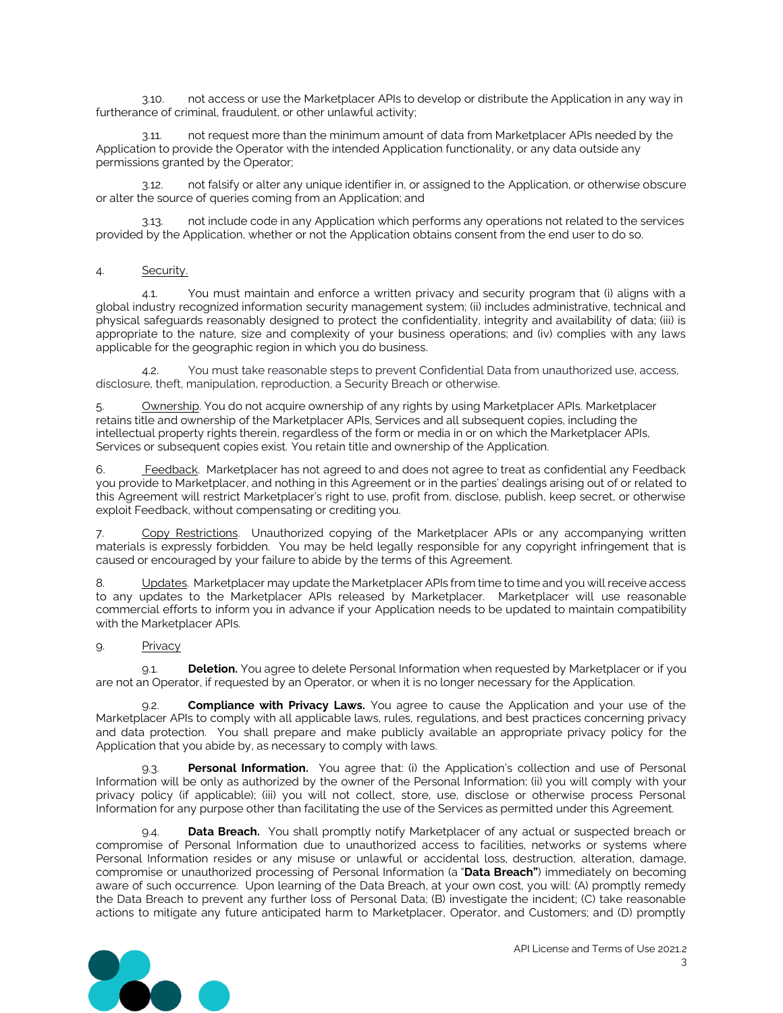3.10. not access or use the Marketplacer APIs to develop or distribute the Application in any way in furtherance of criminal, fraudulent, or other unlawful activity;

3.11. not request more than the minimum amount of data from Marketplacer APIs needed by the Application to provide the Operator with the intended Application functionality, or any data outside any permissions granted by the Operator;

3.12. not falsify or alter any unique identifier in, or assigned to the Application, or otherwise obscure or alter the source of queries coming from an Application; and

3.13. not include code in any Application which performs any operations not related to the services provided by the Application, whether or not the Application obtains consent from the end user to do so.

### 4. Security.

4.1. You must maintain and enforce a written privacy and security program that (i) aligns with a global industry recognized information security management system; (ii) includes administrative, technical and physical safeguards reasonably designed to protect the confidentiality, integrity and availability of data; (iii) is appropriate to the nature, size and complexity of your business operations; and (iv) complies with any laws applicable for the geographic region in which you do business.

4.2. You must take reasonable steps to prevent Confidential Data from unauthorized use, access, disclosure, theft, manipulation, reproduction, a Security Breach or otherwise.

5. Ownership. You do not acquire ownership of any rights by using Marketplacer APIs. Marketplacer retains title and ownership of the Marketplacer APIs, Services and all subsequent copies, including the intellectual property rights therein, regardless of the form or media in or on which the Marketplacer APIs, Services or subsequent copies exist. You retain title and ownership of the Application.

6. Feedback. Marketplacer has not agreed to and does not agree to treat as confidential any Feedback you provide to Marketplacer, and nothing in this Agreement or in the parties' dealings arising out of or related to this Agreement will restrict Marketplacer's right to use, profit from, disclose, publish, keep secret, or otherwise exploit Feedback, without compensating or crediting you.

7. Copy Restrictions. Unauthorized copying of the Marketplacer APIs or any accompanying written materials is expressly forbidden. You may be held legally responsible for any copyright infringement that is caused or encouraged by your failure to abide by the terms of this Agreement.

8. Updates. Marketplacer may update the Marketplacer APIs from time to time and you will receive access to any updates to the Marketplacer APIs released by Marketplacer. Marketplacer will use reasonable commercial efforts to inform you in advance if your Application needs to be updated to maintain compatibility with the Marketplacer APIs.

### 9. Privacy

9.1. **Deletion.** You agree to delete Personal Information when requested by Marketplacer or if you are not an Operator, if requested by an Operator, or when it is no longer necessary for the Application.

9.2. **Compliance with Privacy Laws.** You agree to cause the Application and your use of the Marketplacer APIs to comply with all applicable laws, rules, regulations, and best practices concerning privacy and data protection. You shall prepare and make publicly available an appropriate privacy policy for the Application that you abide by, as necessary to comply with laws.

9.3. **Personal Information.** You agree that: (i) the Application's collection and use of Personal Information will be only as authorized by the owner of the Personal Information; (ii) you will comply with your privacy policy (if applicable); (iii) you will not collect, store, use, disclose or otherwise process Personal Information for any purpose other than facilitating the use of the Services as permitted under this Agreement.

9.4. **Data Breach.** You shall promptly notify Marketplacer of any actual or suspected breach or compromise of Personal Information due to unauthorized access to facilities, networks or systems where Personal Information resides or any misuse or unlawful or accidental loss, destruction, alteration, damage, compromise or unauthorized processing of Personal Information (a "**Data Breach"**) immediately on becoming aware of such occurrence. Upon learning of the Data Breach, at your own cost, you will: (A) promptly remedy the Data Breach to prevent any further loss of Personal Data; (B) investigate the incident; (C) take reasonable actions to mitigate any future anticipated harm to Marketplacer, Operator, and Customers; and (D) promptly

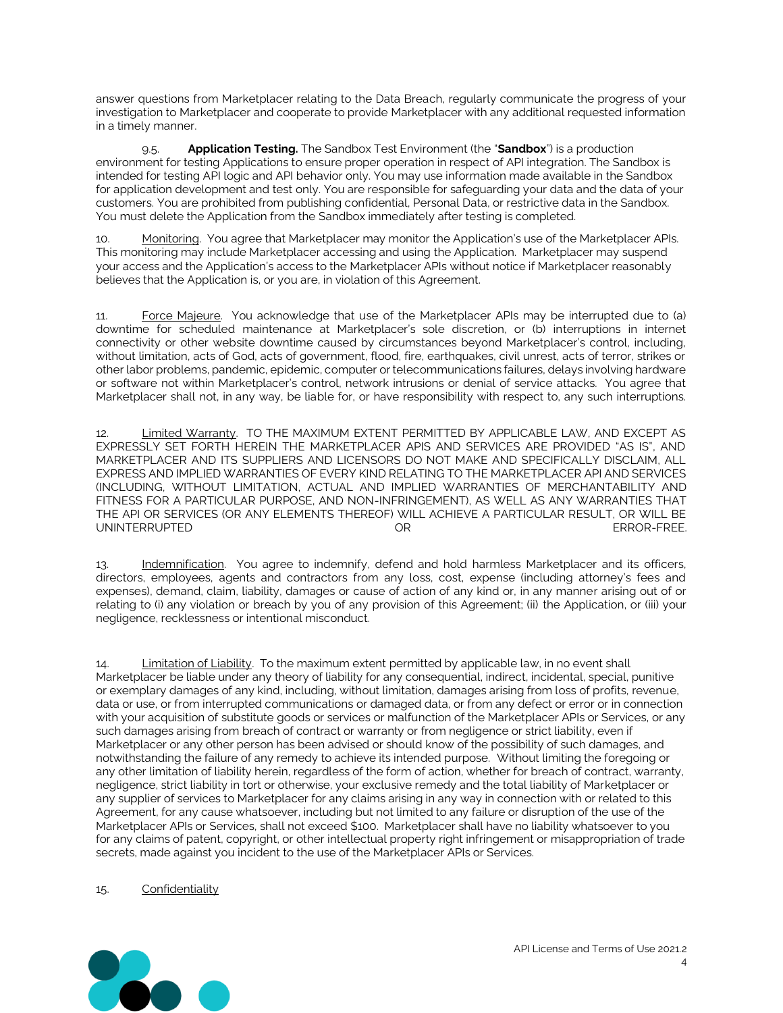answer questions from Marketplacer relating to the Data Breach, regularly communicate the progress of your investigation to Marketplacer and cooperate to provide Marketplacer with any additional requested information in a timely manner.

9.5. **Application Testing.** The Sandbox Test Environment (the "**Sandbox**") is a production environment for testing Applications to ensure proper operation in respect of API integration. The Sandbox is intended for testing API logic and API behavior only. You may use information made available in the Sandbox for application development and test only. You are responsible for safeguarding your data and the data of your customers. You are prohibited from publishing confidential, Personal Data, or restrictive data in the Sandbox. You must delete the Application from the Sandbox immediately after testing is completed.

10. Monitoring. You agree that Marketplacer may monitor the Application's use of the Marketplacer APIs. This monitoring may include Marketplacer accessing and using the Application. Marketplacer may suspend your access and the Application's access to the Marketplacer APIs without notice if Marketplacer reasonably believes that the Application is, or you are, in violation of this Agreement.

11. Force Majeure. You acknowledge that use of the Marketplacer APIs may be interrupted due to (a) downtime for scheduled maintenance at Marketplacer's sole discretion, or (b) interruptions in internet connectivity or other website downtime caused by circumstances beyond Marketplacer's control, including, without limitation, acts of God, acts of government, flood, fire, earthquakes, civil unrest, acts of terror, strikes or other labor problems, pandemic, epidemic, computer or telecommunications failures, delays involving hardware or software not within Marketplacer's control, network intrusions or denial of service attacks. You agree that Marketplacer shall not, in any way, be liable for, or have responsibility with respect to, any such interruptions.

12. Limited Warranty. TO THE MAXIMUM EXTENT PERMITTED BY APPLICABLE LAW, AND EXCEPT AS EXPRESSLY SET FORTH HEREIN THE MARKETPLACER APIS AND SERVICES ARE PROVIDED "AS IS", AND MARKETPLACER AND ITS SUPPLIERS AND LICENSORS DO NOT MAKE AND SPECIFICALLY DISCLAIM, ALL EXPRESS AND IMPLIED WARRANTIES OF EVERY KIND RELATING TO THE MARKETPLACER API AND SERVICES (INCLUDING, WITHOUT LIMITATION, ACTUAL AND IMPLIED WARRANTIES OF MERCHANTABILITY AND FITNESS FOR A PARTICULAR PURPOSE, AND NON-INFRINGEMENT), AS WELL AS ANY WARRANTIES THAT THE API OR SERVICES (OR ANY ELEMENTS THEREOF) WILL ACHIEVE A PARTICULAR RESULT, OR WILL BE UNINTERRUPTED OR

13. Indemnification. You agree to indemnify, defend and hold harmless Marketplacer and its officers, directors, employees, agents and contractors from any loss, cost, expense (including attorney's fees and expenses), demand, claim, liability, damages or cause of action of any kind or, in any manner arising out of or relating to (i) any violation or breach by you of any provision of this Agreement; (ii) the Application, or (iii) your negligence, recklessness or intentional misconduct.

14. Limitation of Liability. To the maximum extent permitted by applicable law, in no event shall Marketplacer be liable under any theory of liability for any consequential, indirect, incidental, special, punitive or exemplary damages of any kind, including, without limitation, damages arising from loss of profits, revenue, data or use, or from interrupted communications or damaged data, or from any defect or error or in connection with your acquisition of substitute goods or services or malfunction of the Marketplacer APIs or Services, or any such damages arising from breach of contract or warranty or from negligence or strict liability, even if Marketplacer or any other person has been advised or should know of the possibility of such damages, and notwithstanding the failure of any remedy to achieve its intended purpose. Without limiting the foregoing or any other limitation of liability herein, regardless of the form of action, whether for breach of contract, warranty, negligence, strict liability in tort or otherwise, your exclusive remedy and the total liability of Marketplacer or any supplier of services to Marketplacer for any claims arising in any way in connection with or related to this Agreement, for any cause whatsoever, including but not limited to any failure or disruption of the use of the Marketplacer APIs or Services, shall not exceed \$100. Marketplacer shall have no liability whatsoever to you for any claims of patent, copyright, or other intellectual property right infringement or misappropriation of trade secrets, made against you incident to the use of the Marketplacer APIs or Services.

#### 15. Confidentiality

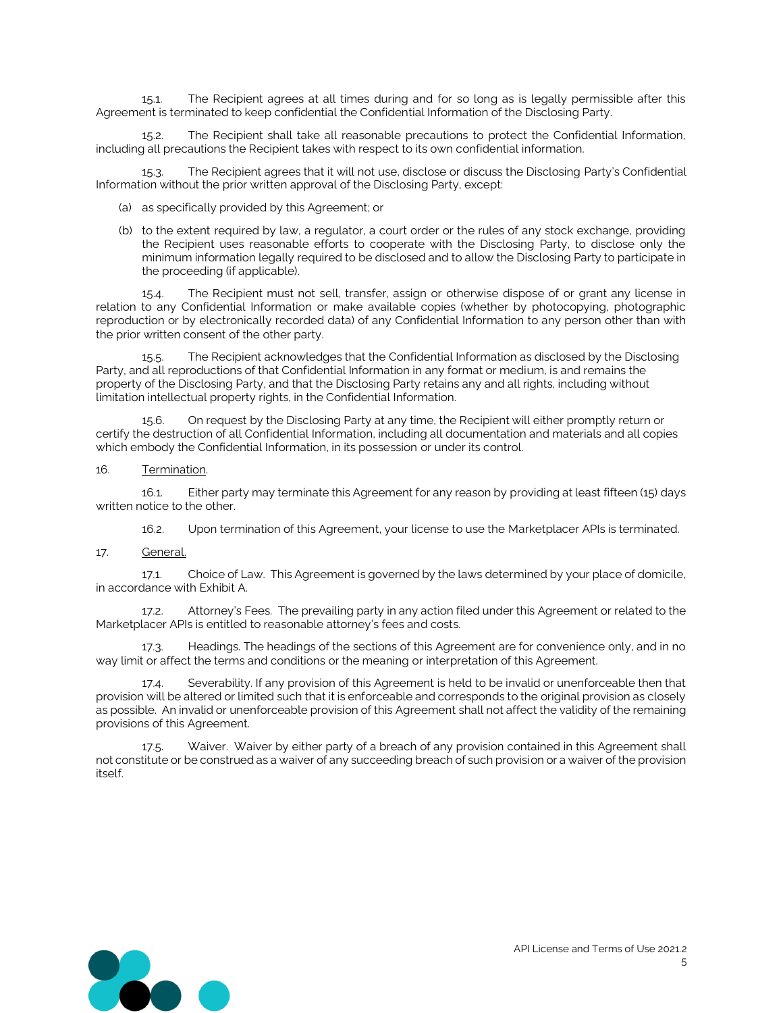15.1. The Recipient agrees at all times during and for so long as is legally permissible after this Agreement is terminated to keep confidential the Confidential Information of the Disclosing Party.

15.2. The Recipient shall take all reasonable precautions to protect the Confidential Information, including all precautions the Recipient takes with respect to its own confidential information.

15.3. The Recipient agrees that it will not use, disclose or discuss the Disclosing Party's Confidential Information without the prior written approval of the Disclosing Party, except:

- (a) as specifically provided by this Agreement; or
- (b) to the extent required by law, a regulator, a court order or the rules of any stock exchange, providing the Recipient uses reasonable efforts to cooperate with the Disclosing Party, to disclose only the minimum information legally required to be disclosed and to allow the Disclosing Party to participate in the proceeding (if applicable).

15.4. The Recipient must not sell, transfer, assign or otherwise dispose of or grant any license in relation to any Confidential Information or make available copies (whether by photocopying, photographic reproduction or by electronically recorded data) of any Confidential Information to any person other than with the prior written consent of the other party.

15.5. The Recipient acknowledges that the Confidential Information as disclosed by the Disclosing Party, and all reproductions of that Confidential Information in any format or medium, is and remains the property of the Disclosing Party, and that the Disclosing Party retains any and all rights, including without limitation intellectual property rights, in the Confidential Information.

15.6. On request by the Disclosing Party at any time, the Recipient will either promptly return or certify the destruction of all Confidential Information, including all documentation and materials and all copies which embody the Confidential Information, in its possession or under its control.

#### 16. Termination.

16.1. Either party may terminate this Agreement for any reason by providing at least fifteen (15) days written notice to the other.

16.2. Upon termination of this Agreement, your license to use the Marketplacer APIs is terminated.

17. General.

17.1. Choice of Law. This Agreement is governed by the laws determined by your place of domicile, in accordance with Exhibit A.

17.2. Attorney's Fees. The prevailing party in any action filed under this Agreement or related to the Marketplacer APIs is entitled to reasonable attorney's fees and costs.

17.3. Headings. The headings of the sections of this Agreement are for convenience only, and in no way limit or affect the terms and conditions or the meaning or interpretation of this Agreement.

17.4. Severability. If any provision of this Agreement is held to be invalid or unenforceable then that provision will be altered or limited such that it is enforceable and corresponds to the original provision as closely as possible. An invalid or unenforceable provision of this Agreement shall not affect the validity of the remaining provisions of this Agreement.

17.5. Waiver. Waiver by either party of a breach of any provision contained in this Agreement shall not constitute or be construed as a waiver of any succeeding breach of such provision or a waiver of the provision itself.

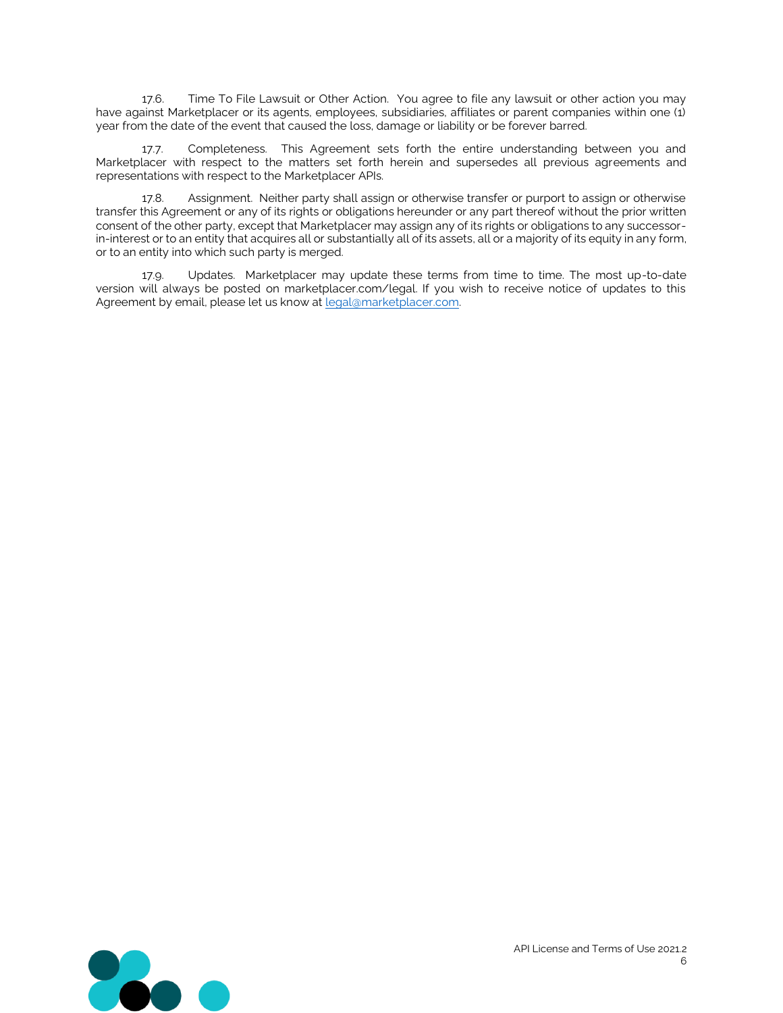17.6. Time To File Lawsuit or Other Action. You agree to file any lawsuit or other action you may have against Marketplacer or its agents, employees, subsidiaries, affiliates or parent companies within one (1) year from the date of the event that caused the loss, damage or liability or be forever barred.

17.7. Completeness. This Agreement sets forth the entire understanding between you and Marketplacer with respect to the matters set forth herein and supersedes all previous agreements and representations with respect to the Marketplacer APIs.

17.8. Assignment. Neither party shall assign or otherwise transfer or purport to assign or otherwise transfer this Agreement or any of its rights or obligations hereunder or any part thereof without the prior written consent of the other party, except that Marketplacer may assign any of its rights or obligations to any successorin-interest or to an entity that acquires all or substantially all of its assets, all or a majority of its equity in any form, or to an entity into which such party is merged.

17.9. Updates. Marketplacer may update these terms from time to time. The most up-to-date version will always be posted on marketplacer.com/legal. If you wish to receive notice of updates to this Agreement by email, please let us know at legal@marketplacer.com.